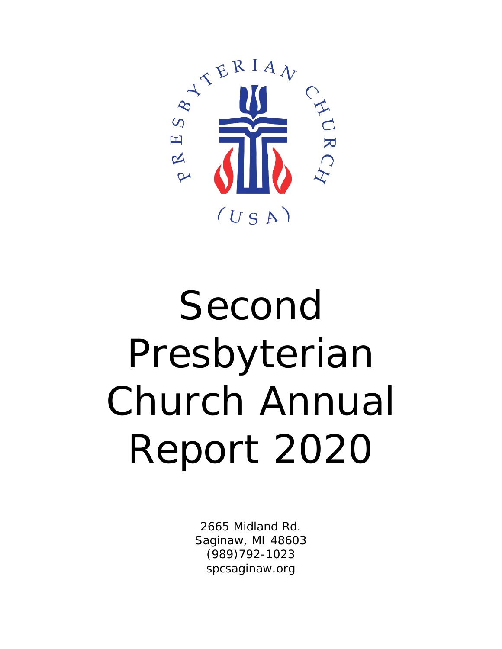

# Second Presbyterian Church Annual Report 2020

2665 Midland Rd. Saginaw, MI 48603 (989)792-1023 spcsaginaw.org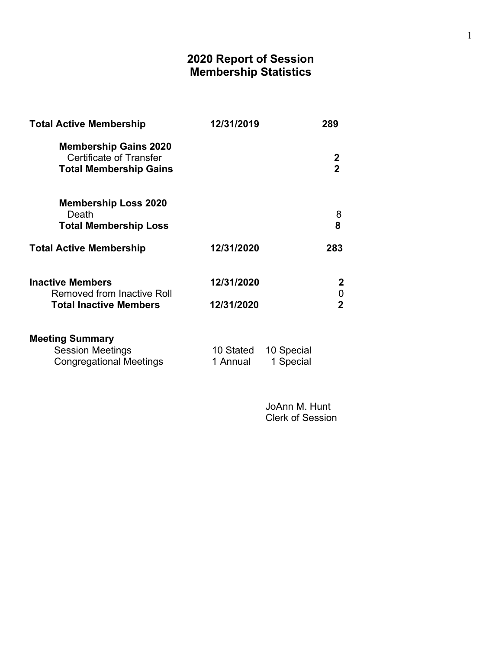# 2020 Report of Session Membership Statistics

| <b>Total Active Membership</b>                                                                  | 12/31/2019            | 289                           |
|-------------------------------------------------------------------------------------------------|-----------------------|-------------------------------|
| <b>Membership Gains 2020</b><br><b>Certificate of Transfer</b><br><b>Total Membership Gains</b> |                       | $\mathbf 2$<br>$\overline{2}$ |
| <b>Membership Loss 2020</b><br>Death<br><b>Total Membership Loss</b>                            |                       | 8<br>8                        |
| <b>Total Active Membership</b>                                                                  | 12/31/2020            | 283                           |
| <b>Inactive Members</b><br><b>Removed from Inactive Roll</b>                                    | 12/31/2020            | 2<br>0                        |
| <b>Total Inactive Members</b>                                                                   | 12/31/2020            | $\mathbf 2$                   |
| <b>Meeting Summary</b><br><b>Session Meetings</b><br><b>Congregational Meetings</b>             | 10 Stated<br>1 Annual | 10 Special<br>1 Special       |

 JoAnn M. Hunt Clerk of Session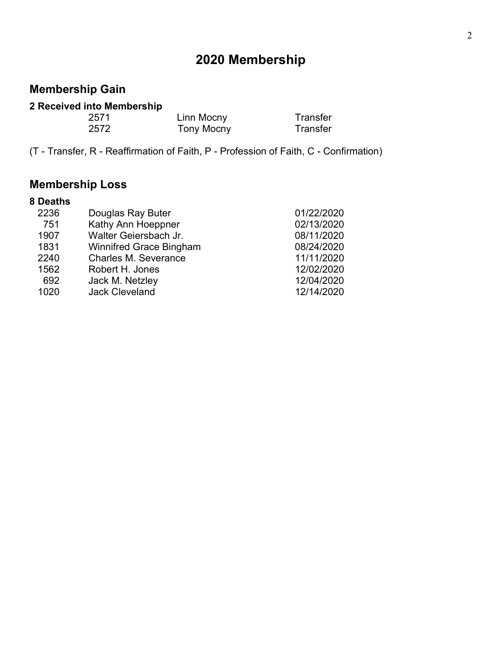# 2020 Membership

# Membership Gain

## 2 Received into Membership

| 2571 | Linn Mocny | Transfer |
|------|------------|----------|
| 2572 | Tony Mocny | Transfer |

(T - Transfer, R - Reaffirmation of Faith, P - Profession of Faith, C - Confirmation)

# Membership Loss

| 8 Deaths |                                |            |
|----------|--------------------------------|------------|
| 2236     | Douglas Ray Buter              | 01/22/2020 |
| 751      | Kathy Ann Hoeppner             | 02/13/2020 |
| 1907     | Walter Geiersbach Jr.          | 08/11/2020 |
| 1831     | <b>Winnifred Grace Bingham</b> | 08/24/2020 |
| 2240     | <b>Charles M. Severance</b>    | 11/11/2020 |
| 1562     | Robert H. Jones                | 12/02/2020 |
| 692      | Jack M. Netzley                | 12/04/2020 |
| 1020     | <b>Jack Cleveland</b>          | 12/14/2020 |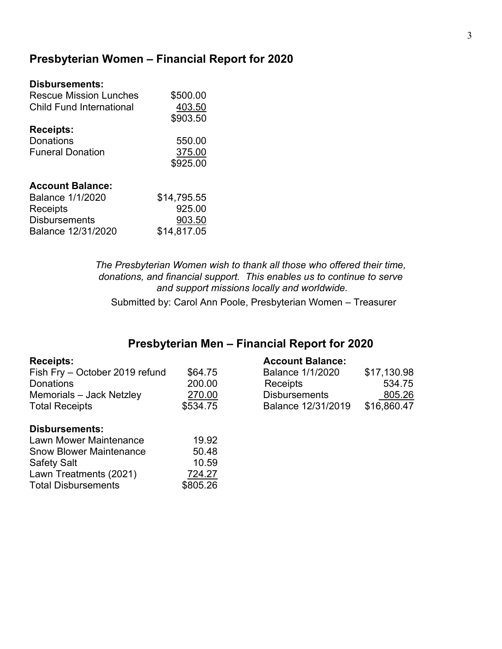# Presbyterian Women – Financial Report for 2020

| <b>Disbursements:</b>           |             |
|---------------------------------|-------------|
| Rescue Mission Lunches          | \$500.00    |
| <b>Child Fund International</b> | 403.50      |
|                                 | \$903.50    |
| <b>Receipts:</b>                |             |
| Donations                       | 550.00      |
| <b>Funeral Donation</b>         | 375.00      |
|                                 | \$925.00    |
| <b>Account Balance:</b>         |             |
| <b>Balance 1/1/2020</b>         | \$14,795.55 |
| Receipts                        | 925.00      |
| <b>Disbursements</b>            | 903.50      |
| Balance 12/31/2020              | \$14,817.05 |

The Presbyterian Women wish to thank all those who offered their time, donations, and financial support. This enables us to continue to serve and support missions locally and worldwide.

Submitted by: Carol Ann Poole, Presbyterian Women – Treasurer

# Presbyterian Men – Financial Report for 2020

| Fish Fry - October 2019 refund | \$64.75  | <b>Balance 1/1/2020</b> | \$17,130.98 |
|--------------------------------|----------|-------------------------|-------------|
| <b>Donations</b>               | 200.00   | Receipts                | 534.75      |
| Memorials - Jack Netzley       | 270.00   | <b>Disbursements</b>    | 805.26      |
| <b>Total Receipts</b>          | \$534.75 | Balance 12/31/2019      | \$16,860.47 |
| <b>Disbursements:</b>          |          |                         |             |
| Lawn Mower Maintenance         | 19.92    |                         |             |

#### Receipts: Account Balance:

| Balance 1/1/2020     | \$17,130.98 |
|----------------------|-------------|
| Receipts             | 534.75      |
| <b>Disbursements</b> | 805.26      |
| Balance 12/31/2019   | \$16,860.47 |

| Lawn Mower Maintenance         | 19.92    |
|--------------------------------|----------|
| <b>Snow Blower Maintenance</b> | 50.48    |
| <b>Safety Salt</b>             | 10.59    |
| Lawn Treatments (2021)         | 724.27   |
| <b>Total Disbursements</b>     | \$805.26 |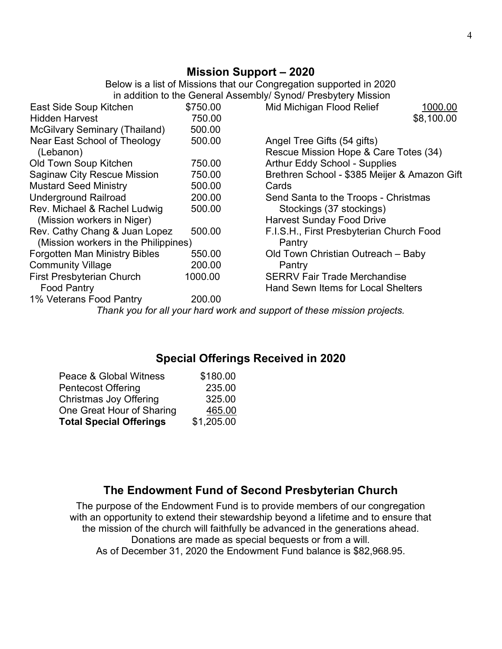# Mission Support – 2020

Below is a list of Missions that our Congregation supported in 2020 in addition to the General Assembly/ Synod/ Presbytery Mission

| East Side Soup Kitchen               | \$750.00 | Mid Michigan Flood Relief<br>1000.00                                    |
|--------------------------------------|----------|-------------------------------------------------------------------------|
| <b>Hidden Harvest</b>                | 750.00   | \$8,100.00                                                              |
| <b>McGilvary Seminary (Thailand)</b> | 500.00   |                                                                         |
| Near East School of Theology         | 500.00   | Angel Tree Gifts (54 gifts)                                             |
| (Lebanon)                            |          | Rescue Mission Hope & Care Totes (34)                                   |
| Old Town Soup Kitchen                | 750.00   | <b>Arthur Eddy School - Supplies</b>                                    |
| <b>Saginaw City Rescue Mission</b>   | 750.00   | Brethren School - \$385 Meijer & Amazon Gift                            |
| <b>Mustard Seed Ministry</b>         | 500.00   | Cards                                                                   |
| <b>Underground Railroad</b>          | 200.00   | Send Santa to the Troops - Christmas                                    |
| Rev. Michael & Rachel Ludwig         | 500.00   | Stockings (37 stockings)                                                |
| (Mission workers in Niger)           |          | <b>Harvest Sunday Food Drive</b>                                        |
| Rev. Cathy Chang & Juan Lopez        | 500.00   | F.I.S.H., First Presbyterian Church Food                                |
| (Mission workers in the Philippines) |          | Pantry                                                                  |
| <b>Forgotten Man Ministry Bibles</b> | 550.00   | Old Town Christian Outreach - Baby                                      |
| <b>Community Village</b>             | 200.00   | Pantry                                                                  |
| <b>First Presbyterian Church</b>     | 1000.00  | <b>SERRV Fair Trade Merchandise</b>                                     |
| <b>Food Pantry</b>                   |          | Hand Sewn Items for Local Shelters                                      |
| 1% Veterans Food Pantry              | 200.00   |                                                                         |
|                                      |          | Thank you for all your hard work and support of these mission projects. |
|                                      |          |                                                                         |

# Special Offerings Received in 2020

| Peace & Global Witness         | \$180.00   |
|--------------------------------|------------|
| <b>Pentecost Offering</b>      | 235.00     |
| Christmas Joy Offering         | 325.00     |
| One Great Hour of Sharing      | 465.00     |
| <b>Total Special Offerings</b> | \$1,205.00 |

# The Endowment Fund of Second Presbyterian Church

The purpose of the Endowment Fund is to provide members of our congregation with an opportunity to extend their stewardship beyond a lifetime and to ensure that the mission of the church will faithfully be advanced in the generations ahead. Donations are made as special bequests or from a will. As of December 31, 2020 the Endowment Fund balance is \$82,968.95.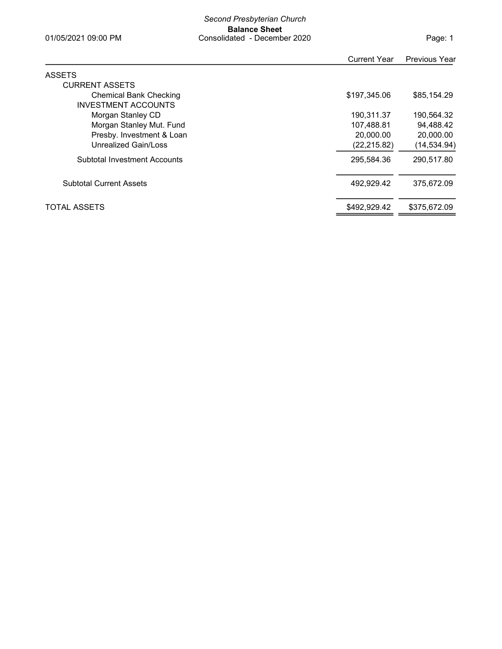| Page: 1 |  |
|---------|--|
|---------|--|

| <b>Current Year</b> | <b>Previous Year</b> |
|---------------------|----------------------|
|                     |                      |
|                     |                      |
| \$197.345.06        | \$85,154.29          |
|                     |                      |
| 190.311.37          | 190,564.32           |
| 107,488.81          | 94,488.42            |
| 20,000.00           | 20,000.00            |
| (22, 215.82)        | (14, 534.94)         |
| 295,584.36          | 290,517.80           |
| 492,929.42          | 375.672.09           |
| \$492.929.42        | \$375,672.09         |
|                     |                      |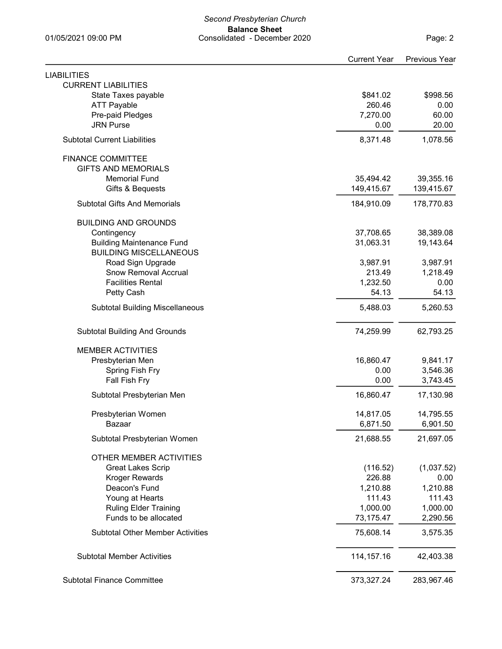State Taxes payable **\$841.02** \$998.56

CURRENT LIABILITIES

LIABILITIES

| <b>ATT Payable</b><br>Pre-paid Pledges  | 260.46<br>7,270.00 | 0.00<br>60.00 |
|-----------------------------------------|--------------------|---------------|
| <b>JRN Purse</b>                        | 0.00               | 20.00         |
| <b>Subtotal Current Liabilities</b>     | 8,371.48           | 1,078.56      |
| <b>FINANCE COMMITTEE</b>                |                    |               |
| <b>GIFTS AND MEMORIALS</b>              |                    |               |
| <b>Memorial Fund</b>                    | 35,494.42          | 39,355.16     |
| Gifts & Bequests                        | 149,415.67         | 139,415.67    |
| <b>Subtotal Gifts And Memorials</b>     | 184,910.09         | 178,770.83    |
| <b>BUILDING AND GROUNDS</b>             |                    |               |
| Contingency                             | 37,708.65          | 38,389.08     |
| <b>Building Maintenance Fund</b>        | 31,063.31          | 19,143.64     |
| <b>BUILDING MISCELLANEOUS</b>           |                    |               |
| Road Sign Upgrade                       | 3,987.91           | 3,987.91      |
| <b>Snow Removal Accrual</b>             | 213.49             | 1,218.49      |
| <b>Facilities Rental</b>                | 1,232.50           | 0.00          |
| Petty Cash                              | 54.13              | 54.13         |
| <b>Subtotal Building Miscellaneous</b>  | 5,488.03           | 5,260.53      |
| <b>Subtotal Building And Grounds</b>    | 74,259.99          | 62,793.25     |
| <b>MEMBER ACTIVITIES</b>                |                    |               |
| Presbyterian Men                        | 16,860.47          | 9,841.17      |
| Spring Fish Fry                         | 0.00               | 3,546.36      |
| Fall Fish Fry                           | 0.00               | 3,743.45      |
| Subtotal Presbyterian Men               | 16,860.47          | 17,130.98     |
| Presbyterian Women                      | 14,817.05          | 14,795.55     |
| Bazaar                                  | 6,871.50           | 6,901.50      |
| Subtotal Presbyterian Women             | 21,688.55          | 21,697.05     |
| OTHER MEMBER ACTIVITIES                 |                    |               |
| <b>Great Lakes Scrip</b>                | (116.52)           | (1,037.52)    |
| <b>Kroger Rewards</b>                   | 226.88             | 0.00          |
| Deacon's Fund                           | 1,210.88           | 1,210.88      |
| Young at Hearts                         | 111.43             | 111.43        |
| <b>Ruling Elder Training</b>            | 1,000.00           | 1,000.00      |
| Funds to be allocated                   | 73,175.47          | 2,290.56      |
| <b>Subtotal Other Member Activities</b> | 75,608.14          | 3,575.35      |
| <b>Subtotal Member Activities</b>       | 114, 157. 16       | 42,403.38     |
| <b>Subtotal Finance Committee</b>       | 373,327.24         | 283,967.46    |

Current Year Previous Year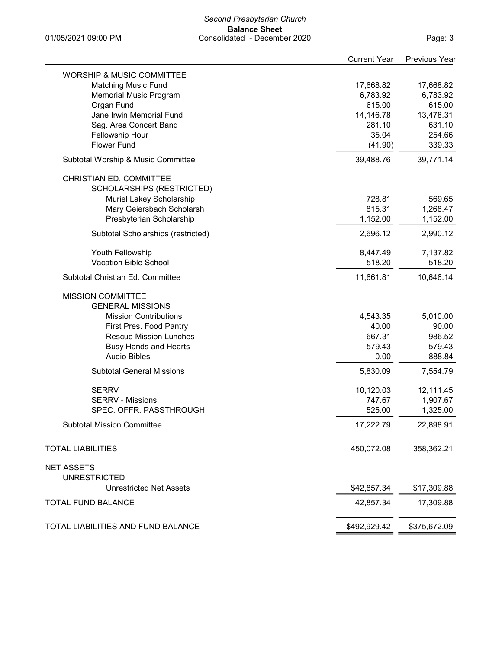#### Second Presbyterian Church Balance Sheet 01/05/2021 09:00 PM Consolidated - December 2020

Page: 3

|                                          | <b>Current Year</b> | <b>Previous Year</b> |
|------------------------------------------|---------------------|----------------------|
| <b>WORSHIP &amp; MUSIC COMMITTEE</b>     |                     |                      |
| <b>Matching Music Fund</b>               | 17,668.82           | 17,668.82            |
| <b>Memorial Music Program</b>            | 6,783.92            | 6,783.92             |
| Organ Fund                               | 615.00              | 615.00               |
| Jane Irwin Memorial Fund                 | 14,146.78           | 13,478.31            |
| Sag. Area Concert Band                   | 281.10              | 631.10               |
| Fellowship Hour                          | 35.04               | 254.66               |
| <b>Flower Fund</b>                       | (41.90)             | 339.33               |
| Subtotal Worship & Music Committee       | 39,488.76           | 39,771.14            |
| CHRISTIAN ED. COMMITTEE                  |                     |                      |
| SCHOLARSHIPS (RESTRICTED)                |                     |                      |
| Muriel Lakey Scholarship                 | 728.81              | 569.65               |
| Mary Geiersbach Scholarsh                | 815.31              | 1,268.47             |
| Presbyterian Scholarship                 | 1,152.00            | 1,152.00             |
|                                          |                     |                      |
| Subtotal Scholarships (restricted)       | 2,696.12            | 2,990.12             |
| Youth Fellowship                         | 8,447.49            | 7,137.82             |
| Vacation Bible School                    | 518.20              | 518.20               |
| Subtotal Christian Ed. Committee         | 11,661.81           | 10,646.14            |
| <b>MISSION COMMITTEE</b>                 |                     |                      |
| <b>GENERAL MISSIONS</b>                  |                     |                      |
| <b>Mission Contributions</b>             | 4,543.35            | 5,010.00             |
| First Pres. Food Pantry                  | 40.00               | 90.00                |
| <b>Rescue Mission Lunches</b>            | 667.31              | 986.52               |
| <b>Busy Hands and Hearts</b>             | 579.43              | 579.43               |
| <b>Audio Bibles</b>                      | 0.00                | 888.84               |
| <b>Subtotal General Missions</b>         | 5,830.09            | 7,554.79             |
|                                          |                     |                      |
| <b>SERRV</b>                             | 10,120.03           | 12,111.45            |
| <b>SERRV - Missions</b>                  | 747.67              | 1,907.67             |
| SPEC. OFFR. PASSTHROUGH                  | 525.00              | 1,325.00             |
| <b>Subtotal Mission Committee</b>        | 17,222.79           | 22,898.91            |
| <b>TOTAL LIABILITIES</b>                 | 450,072.08          | 358,362.21           |
|                                          |                     |                      |
| <b>NET ASSETS</b><br><b>UNRESTRICTED</b> |                     |                      |
| <b>Unrestricted Net Assets</b>           |                     |                      |
|                                          | \$42,857.34         | \$17,309.88          |
| <b>TOTAL FUND BALANCE</b>                | 42,857.34           | 17,309.88            |
| TOTAL LIABILITIES AND FUND BALANCE       | \$492,929.42        | \$375,672.09         |
|                                          |                     |                      |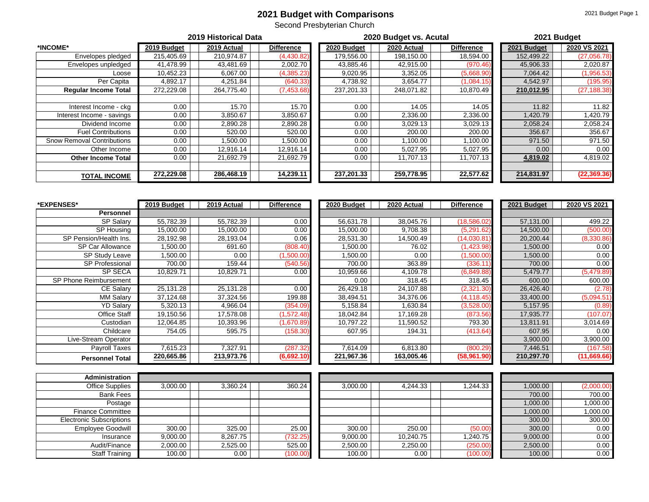#### **2021 Budget with Comparisons**

Second Presbyterian Church

|                                   | 2019 Historical Data |             |                   |             | 2020 Budget vs. Acutal | 2021 Budget       |             |              |
|-----------------------------------|----------------------|-------------|-------------------|-------------|------------------------|-------------------|-------------|--------------|
| *INCOME*                          | 2019 Budget          | 2019 Actual | <b>Difference</b> | 2020 Budget | 2020 Actual            | <b>Difference</b> | 2021 Budget | 2020 VS 2021 |
| Envelopes pledged                 | 215,405.69           | 210,974.87  | (4,430.82)        | 179,556.00  | 198,150.00             | 18,594.00         | 152,499.22  | (27,056.78)  |
| Envelopes unpledged               | 41,478.99            | 43,481.69   | 2,002.70          | 43,885.46   | 42,915.00              | (970.46)          | 45,906.33   | 2,020.87     |
| Loose                             | 10,452.23            | 6,067.00    | (4, 385.23)       | 9,020.95    | 3,352.05               | (5,668.90)        | 7,064.42    | (1,956.53)   |
| Per Capita                        | 4,892.17             | 4,251.84    | (640.33)          | 4,738.92    | 3,654.77               | (1,084.15)        | 4,542.97    | (195.95)     |
| <b>Regular Income Total</b>       | 272,229.08           | 264,775.40  | (7, 453.68)       | 237,201.33  | 248,071.82             | 10,870.49         | 210,012.95  | (27, 188.38) |
| Interest Income - ckg             | 0.00                 | 15.70       | 15.70             | 0.00        | 14.05                  | 14.05             | 11.82       | 11.82        |
| Interest Income - savings         | 0.00                 | 3,850.67    | 3,850.67          | 0.00        | 2,336.00               | 2,336.00          | 1,420.79    | ,420.79      |
| Dividend Income                   | 0.00                 | 2,890.28    | 2,890.28          | 0.00        | 3,029.13               | 3,029.13          | 2,058.24    | 2,058.24     |
| <b>Fuel Contributions</b>         | 0.00                 | 520.00      | 520.00            | 0.00        | 200.00                 | 200.00            | 356.67      | 356.67       |
| <b>Snow Removal Contributions</b> | 0.00                 | .500.00     | 500.00 ا          | 0.00        | ,100.00                | 1,100.00          | 971.50      | 971.50       |
| Other Income                      | 0.00                 | 12,916.14   | 12,916.14         | 0.00        | 5,027.95               | 5,027.95          | 0.00        | 0.00         |
| <b>Other Income Total</b>         | 0.00                 | 21,692.79   | 21,692.79         | 0.00        | 11,707.13              | 11,707.13         | 4,819.02    | 4,819.02     |
| <b>TOTAL INCOME</b>               | 272,229.08           | 286,468.19  | 14,239.11         | 237,201.33  | 259,778.95             | 22,577.62         | 214,831.97  | (22, 369.36) |

| *EXPENSES*             | 2019 Budget | 2019 Actual | <b>Difference</b> | 2020 Budget | 2020 Actual | <b>Difference</b> | 2021 Budget | 2020 VS 2021 |
|------------------------|-------------|-------------|-------------------|-------------|-------------|-------------------|-------------|--------------|
| Personnel              |             |             |                   |             |             |                   |             |              |
| SP Salary              | 55,782.39   | 55,782.39   | $0.00\,$          | 56,631.78   | 38,045.76   | (18, 586.02)      | 57,131.00   | 499.22       |
| SP Housing             | 15,000.00   | 15,000.00   | $0.00\,$          | 15,000.00   | 9,708.38    | (5,291.62)        | 14,500.00   | (500.00)     |
| SP Pension/Health Ins. | 28,192.98   | 28,193.04   | 0.06              | 28,531.30   | 14,500.49   | (14,030.81)       | 20,200.44   | (8,330.86)   |
| SP Car Allowance       | ,500.00     | 691.60      | (808.40)          | 1,500.00    | 76.02       | (1,423.98)        | 1,500.00    | 0.00         |
| SP Study Leave         | ,500.00     | 0.00        | (1,500.00)        | 1,500.00    | 0.00        | (1,500.00)        | 1,500.00    | 0.00         |
| <b>SP Professional</b> | 700.00      | 159.44      | (540.56)          | 700.00      | 363.89      | (336.11           | 700.00      | 0.00         |
| SP SECA                | 10,829.71   | 10,829.71   | 0.00              | 10,959.66   | 4,109.78    | (6,849.88)        | 5,479.77    | (5,479.89)   |
| SP Phone Reimbursement |             |             |                   | 0.00        | 318.45      | 318.45            | 600.00      | 600.00       |
| CE Salary              | 25,131.28   | 25,131.28   | 0.00              | 26,429.18   | 24,107.88   | (2,321.30)        | 26,426.40   | (2.78)       |
| <b>MM Salary</b>       | 37,124.68   | 37,324.56   | 199.88            | 38,494.51   | 34,376.06   | (4, 118.45)       | 33,400.00   | (5,094.51)   |
| <b>YD Salary</b>       | 5,320.13    | 4,966.04    | (354.09)          | 5,158.84    | 1,630.84    | (3,528.00)        | 5,157.95    | (0.89)       |
| Office Staff           | 19,150.56   | 17,578.08   | (1,572.48)        | 18,042.84   | 17,169.28   | (873.56)          | 17,935.77   | (107.07)     |
| Custodian              | 12,064.85   | 10,393.96   | .1,670.89)        | 10,797.22   | 11,590.52   | 793.30            | 13,811.91   | 3,014.69     |
| Childcare              | 754.05      | 595.75      | (158.30)          | 607.95      | 194.31      | (413.64)          | 607.95      | 0.00         |
| Live-Stream Operator   |             |             |                   |             |             |                   | 3,900.00    | 3,900.00     |
| Payroll Taxes          | 7,615.23    | 7,327.91    | (287.32)          | 7,614.09    | 6,813.80    | (800.29)          | 7,446.51    | (167.58)     |
| <b>Personnel Total</b> | 220,665.86  | 213,973.76  | (6,692.10)        | 221,967.36  | 163,005.46  | (58,961.90)       | 210,297.70  | (11,669.66)  |

| <b>Administration</b>           |          |          |          |          |           |          |          |            |
|---------------------------------|----------|----------|----------|----------|-----------|----------|----------|------------|
| <b>Office Supplies</b>          | 3,000.00 | 3,360.24 | 360.24   | 3,000.00 | 4,244.33  | .244.33  | 1,000.00 | (2,000.00) |
| <b>Bank Fees</b>                |          |          |          |          |           |          | 700.00   | 700.00     |
| Postage                         |          |          |          |          |           |          | 1,000.00 | 1,000.00   |
| <b>Finance Committee</b>        |          |          |          |          |           |          | 1,000.00 | 1,000.00   |
| <b>Electronic Subscriptions</b> |          |          |          |          |           |          | 300.00   | 300.00     |
| <b>Employee Goodwill</b>        | 300.00   | 325.00   | 25.00    | 300.00   | 250.00    | (50.00)  | 300.00   | 0.00       |
| Insurance                       | 9,000.00 | 8,267.75 | (732.25) | 9,000.00 | 10.240.75 | ,240.75  | 9,000.00 | 0.00       |
| Audit/Finance                   | 2,000.00 | 2,525.00 | 525.00   | 2,500.00 | 2,250.00  | (250.00) | 2,500.00 | 0.00       |
| <b>Staff Training</b>           | 100.00   | 0.00     | (100.00) | 100.00   | 0.00      | (100.00) | 100.00   | 0.00       |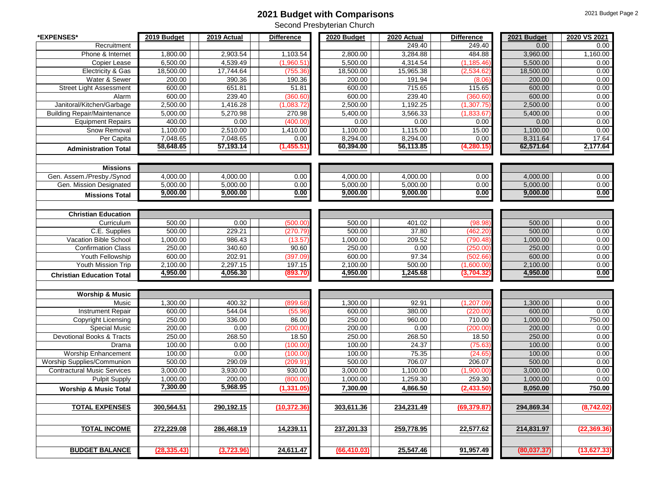#### **2021 Budget with Comparisons**

| *EXPENSES*                               | 2019 Budget | 2019 Actual          | <b>Difference</b> | 2020 Budget  | 2020 Actual        | <b>Difference</b> | 2021 Budget          | 2020 VS 2021 |
|------------------------------------------|-------------|----------------------|-------------------|--------------|--------------------|-------------------|----------------------|--------------|
| Recruitment                              |             |                      |                   |              | 249.40             | 249.40            | 0.00                 | 0.00         |
| Phone & Internet                         | 1,800.00    | 2,903.54             | 1,103.54          | 2,800.00     | 3,284.88           | 484.88            | 3,960.00             | 1,160.00     |
| Copier Lease                             | 6,500.00    | 4,539.49             | (1,960.51)        | 5,500.00     | 4,314.54           | (1, 185.46)       | 5,500.00             | 0.00         |
| Electricity & Gas                        | 18,500.00   | 17,744.64            | (755.36           | 18,500.00    | 15,965.38          | (2,534.62)        | 18,500.00            | 0.00         |
| Water & Sewer                            | 200.00      | 390.36               | 190.36            | 200.00       | 191.94             | (8.06)            | 200.00               | 0.00         |
| <b>Street Light Assessment</b>           | 600.00      | 651.81               | 51.81             | 600.00       | 715.65             | 115.65            | 600.00               | 0.00         |
| Alarm                                    | 600.00      | 239.40               | (360.60)          | 600.00       | 239.40             | (360.60)          | 600.00               | 0.00         |
| Janitoral/Kitchen/Garbage                | 2,500.00    | 1,416.28             | (1,083.72)        | 2,500.00     | 1,192.25           | (1, 307.75)       | 2,500.00             | 0.00         |
| <b>Building Repair/Maintenance</b>       | 5,000.00    | 5,270.98             | 270.98            | 5,400.00     | 3,566.33           | (1,833.67)        | 5,400.00             | 0.00         |
| <b>Equipment Repairs</b>                 | 400.00      | 0.00                 | (400.00)          | 0.00         | 0.00               | 0.00              | 0.00                 | 0.00         |
| Snow Removal                             | 1,100.00    | 2,510.00             | 1,410.00          | 1,100.00     | 1,115.00           | 15.00             | 1,100.00             | 0.00         |
| Per Capita                               | 7,048.65    | 7.048.65             | 0.00              | 8,294.00     | 8,294.00           | 0.00              | 8,311.64             | 17.64        |
| <b>Administration Total</b>              | 58,648.65   | 57,193.14            | (1,455.51)        | 60,394.00    | 56,113.85          | (4, 280.15)       | 62,571.64            | 2,177.64     |
|                                          |             |                      |                   |              |                    |                   |                      |              |
| <b>Missions</b>                          |             |                      |                   |              |                    |                   |                      |              |
| Gen. Assem./Presby./Synod                | 4,000.00    | 4,000.00             | 0.00              | 4,000.00     | 4,000.00           | 0.00              | 4,000.00             | 0.00         |
| Gen. Mission Designated                  | 5,000.00    | 5,000.00             | 0.00              | 5,000.00     | 5,000.00           | 0.00              | 5,000.00             | 0.00         |
| <b>Missions Total</b>                    | 9,000.00    | 9,000.00             | 0.00              | 9,000.00     | 9,000.00           | 0.00              | 9,000.00             | 0.00         |
|                                          |             |                      |                   |              |                    |                   |                      |              |
|                                          |             |                      |                   |              |                    |                   |                      |              |
| <b>Christian Education</b><br>Curriculum | 500.00      | 0.00                 |                   | 500.00       | 401.02             |                   | 500.00               | 0.00         |
|                                          |             |                      | (500.00)          |              |                    | (98.98)           |                      |              |
| C.E. Supplies                            | 500.00      | 229.21               | (270.79           | 500.00       | 37.80              | (462.20           | 500.00               | 0.00<br>0.00 |
| Vacation Bible School                    | 1,000.00    | 986.43               | (13.57)           | 1,000.00     | 209.52             | (790.48           | 1,000.00             |              |
| <b>Confirmation Class</b>                | 250.00      | 340.60               | 90.60             | 250.00       | 0.00               | (250.00)          | 250.00               | 0.00         |
| Youth Fellowship                         | 600.00      | 202.91               | (397.09)          | 600.00       | 97.34              | (502.66)          | 600.00               | 0.00         |
| Youth Mission Trip                       | 2,100.00    | 2,297.15<br>4,056.30 | 197.15            | 2,100.00     | 500.00<br>1,245.68 | (1,600.00)        | 2,100.00<br>4,950.00 | 0.00<br>0.00 |
| <b>Christian Education Total</b>         | 4,950.00    |                      | (893.70)          | 4,950.00     |                    | (3,704.32)        |                      |              |
|                                          |             |                      |                   |              |                    |                   |                      |              |
| <b>Worship &amp; Music</b>               |             |                      |                   |              |                    |                   |                      |              |
| Music                                    | 1,300.00    | 400.32               | (899.68           | 1,300.00     | 92.91              | (1,207.09)        | 1,300.00             | 0.00         |
| Instrument Repair                        | 600.00      | 544.04               | (55.96)           | 600.00       | 380.00             | (220.00)          | 600.00               | 0.00         |
| Copyright Licensing                      | 250.00      | 336.00               | 86.00             | 250.00       | 960.00             | 710.00            | 1,000.00             | 750.00       |
| <b>Special Music</b>                     | 200.00      | 0.00                 | (200.00)          | 200.00       | 0.00               | (200.00)          | 200.00               | 0.00         |
| Devotional Books & Tracts                | 250.00      | 268.50               | 18.50             | 250.00       | 268.50             | 18.50             | 250.00               | 0.00         |
| Drama                                    | 100.00      | 0.00                 | (100.00)          | 100.00       | 24.37              | (75.63)           | 100.00               | 0.00         |
| Worship Enhancement                      | 100.00      | 0.00                 | (100.00)          | 100.00       | 75.35              | (24.65)           | 100.00               | 0.00         |
| Worship Supplies/Communion               | 500.00      | 290.09               | (209.91)          | 500.00       | 706.07             | 206.07            | 500.00               | 0.00         |
| <b>Contractural Music Services</b>       | 3,000.00    | 3,930.00             | 930.00            | 3,000.00     | 1,100.00           | (1,900.00)        | 3,000.00             | 0.00         |
| Pulpit Supply                            | 1,000.00    | 200.00               | (800.00)          | 1,000.00     | 1,259.30           | 259.30            | 1,000.00             | 0.00         |
| <b>Worship &amp; Music Total</b>         | 7,300.00    | 5,968.95             | (1, 331.05)       | 7,300.00     | 4,866.50           | (2, 433.50)       | 8,050.00             | 750.00       |
|                                          |             |                      |                   |              |                    |                   |                      |              |
| <b>TOTAL EXPENSES</b>                    | 300,564.51  | 290,192.15           | (10,372.36        | 303,611.36   | 234,231.49         | (69, 379.87)      | 294,869.34           | (8,742.02)   |
|                                          |             |                      |                   |              |                    |                   |                      |              |
|                                          |             |                      |                   |              |                    |                   |                      |              |
| <b>TOTAL INCOME</b>                      | 272,229.08  | 286,468.19           | 14,239.11         | 237,201.33   | 259,778.95         | 22,577.62         | 214,831.97           | (22,369.36)  |
|                                          |             |                      |                   |              |                    |                   |                      |              |
| <b>BUDGET BALANCE</b>                    | (28,335.43) | (3,723.96)           | 24,611.47         | (66, 410.03) | 25,547.46          | 91,957.49         | (80, 037.37)         | (13, 627.33) |
|                                          |             |                      |                   |              |                    |                   |                      |              |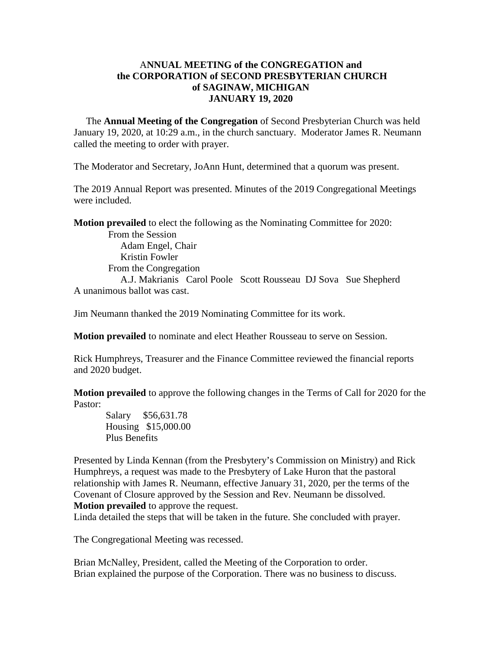#### A**NNUAL MEETING of the CONGREGATION and the CORPORATION of SECOND PRESBYTERIAN CHURCH of SAGINAW, MICHIGAN JANUARY 19, 2020**

 The **Annual Meeting of the Congregation** of Second Presbyterian Church was held January 19, 2020, at 10:29 a.m., in the church sanctuary. Moderator James R. Neumann called the meeting to order with prayer.

The Moderator and Secretary, JoAnn Hunt, determined that a quorum was present.

The 2019 Annual Report was presented. Minutes of the 2019 Congregational Meetings were included.

**Motion prevailed** to elect the following as the Nominating Committee for 2020:

 From the Session Adam Engel, Chair Kristin Fowler From the Congregation A.J. Makrianis Carol Poole Scott Rousseau DJ Sova Sue Shepherd A unanimous ballot was cast.

Jim Neumann thanked the 2019 Nominating Committee for its work.

**Motion prevailed** to nominate and elect Heather Rousseau to serve on Session.

Rick Humphreys, Treasurer and the Finance Committee reviewed the financial reports and 2020 budget.

**Motion prevailed** to approve the following changes in the Terms of Call for 2020 for the Pastor:

 Salary \$56,631.78 Housing \$15,000.00 Plus Benefits

Presented by Linda Kennan (from the Presbytery's Commission on Ministry) and Rick Humphreys, a request was made to the Presbytery of Lake Huron that the pastoral relationship with James R. Neumann, effective January 31, 2020, per the terms of the Covenant of Closure approved by the Session and Rev. Neumann be dissolved. **Motion prevailed** to approve the request.

Linda detailed the steps that will be taken in the future. She concluded with prayer.

The Congregational Meeting was recessed.

Brian McNalley, President, called the Meeting of the Corporation to order. Brian explained the purpose of the Corporation. There was no business to discuss.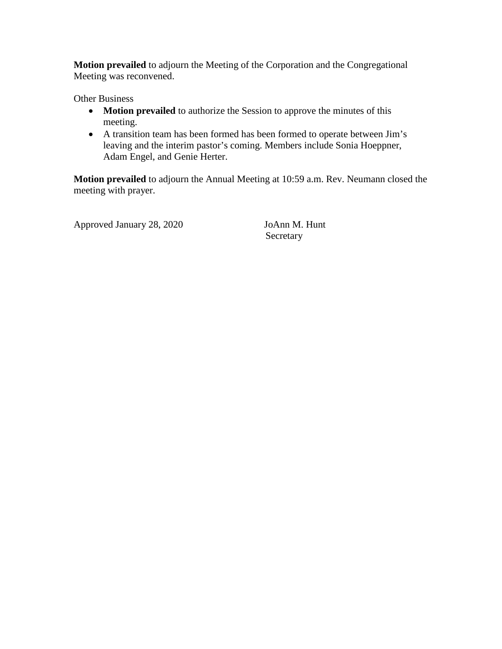**Motion prevailed** to adjourn the Meeting of the Corporation and the Congregational Meeting was reconvened.

Other Business

- **Motion prevailed** to authorize the Session to approve the minutes of this meeting.
- A transition team has been formed has been formed to operate between Jim's leaving and the interim pastor's coming. Members include Sonia Hoeppner, Adam Engel, and Genie Herter.

**Motion prevailed** to adjourn the Annual Meeting at 10:59 a.m. Rev. Neumann closed the meeting with prayer.

Approved January 28, 2020 JoAnn M. Hunt

Secretary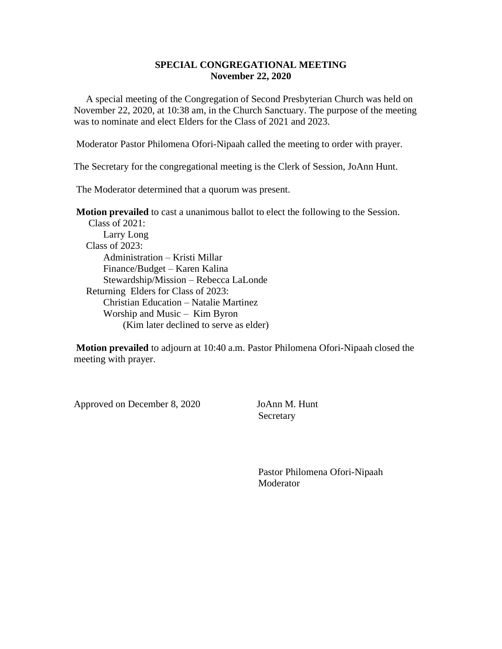#### **SPECIAL CONGREGATIONAL MEETING November 22, 2020**

 A special meeting of the Congregation of Second Presbyterian Church was held on November 22, 2020, at 10:38 am, in the Church Sanctuary. The purpose of the meeting was to nominate and elect Elders for the Class of 2021 and 2023.

Moderator Pastor Philomena Ofori-Nipaah called the meeting to order with prayer.

The Secretary for the congregational meeting is the Clerk of Session, JoAnn Hunt.

The Moderator determined that a quorum was present.

**Motion prevailed** to cast a unanimous ballot to elect the following to the Session.

 Class of 2021: Larry Long Class of 2023: Administration – Kristi Millar Finance/Budget – Karen Kalina Stewardship/Mission – Rebecca LaLonde Returning Elders for Class of 2023: Christian Education – Natalie Martinez Worship and Music – Kim Byron (Kim later declined to serve as elder)

**Motion prevailed** to adjourn at 10:40 a.m. Pastor Philomena Ofori-Nipaah closed the meeting with prayer.

Approved on December 8, 2020 JoAnn M. Hunt

**Secretary** 

 Pastor Philomena Ofori-Nipaah Moderator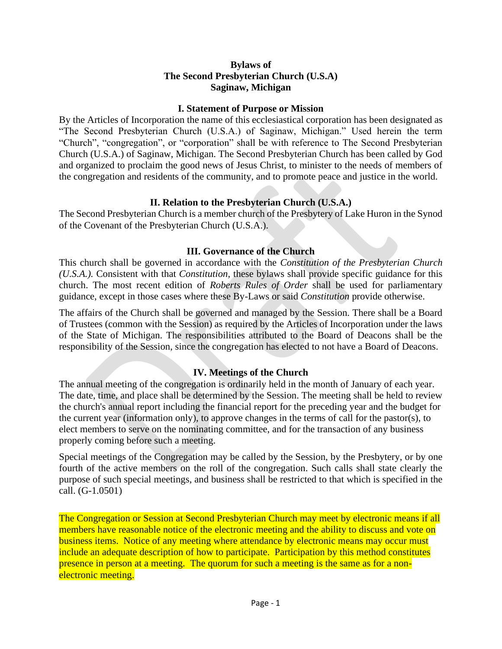#### **Bylaws of The Second Presbyterian Church (U.S.A) Saginaw, Michigan**

#### **I. Statement of Purpose or Mission**

By the Articles of Incorporation the name of this ecclesiastical corporation has been designated as "The Second Presbyterian Church (U.S.A.) of Saginaw, Michigan." Used herein the term "Church", "congregation", or "corporation" shall be with reference to The Second Presbyterian Church (U.S.A.) of Saginaw, Michigan. The Second Presbyterian Church has been called by God and organized to proclaim the good news of Jesus Christ, to minister to the needs of members of the congregation and residents of the community, and to promote peace and justice in the world.

#### **II. Relation to the Presbyterian Church (U.S.A.)**

The Second Presbyterian Church is a member church of the Presbytery of Lake Huron in the Synod of the Covenant of the Presbyterian Church (U.S.A.).

#### **III. Governance of the Church**

This church shall be governed in accordance with the *Constitution of the Presbyterian Church (U.S.A.).* Consistent with that *Constitution,* these bylaws shall provide specific guidance for this church. The most recent edition of *Roberts Rules of Order* shall be used for parliamentary guidance, except in those cases where these By-Laws or said *Constitution* provide otherwise.

The affairs of the Church shall be governed and managed by the Session. There shall be a Board of Trustees (common with the Session) as required by the Articles of Incorporation under the laws of the State of Michigan. The responsibilities attributed to the Board of Deacons shall be the responsibility of the Session, since the congregation has elected to not have a Board of Deacons.

### **IV. Meetings of the Church**

The annual meeting of the congregation is ordinarily held in the month of January of each year. The date, time, and place shall be determined by the Session. The meeting shall be held to review the church's annual report including the financial report for the preceding year and the budget for the current year (information only), to approve changes in the terms of call for the pastor(s), to elect members to serve on the nominating committee, and for the transaction of any business properly coming before such a meeting.

Special meetings of the Congregation may be called by the Session, by the Presbytery, or by one fourth of the active members on the roll of the congregation. Such calls shall state clearly the purpose of such special meetings, and business shall be restricted to that which is specified in the call. (G-1.0501)

The Congregation or Session at Second Presbyterian Church may meet by electronic means if all members have reasonable notice of the electronic meeting and the ability to discuss and vote on business items. Notice of any meeting where attendance by electronic means may occur must include an adequate description of how to participate. Participation by this method constitutes presence in person at a meeting. The quorum for such a meeting is the same as for a nonelectronic meeting.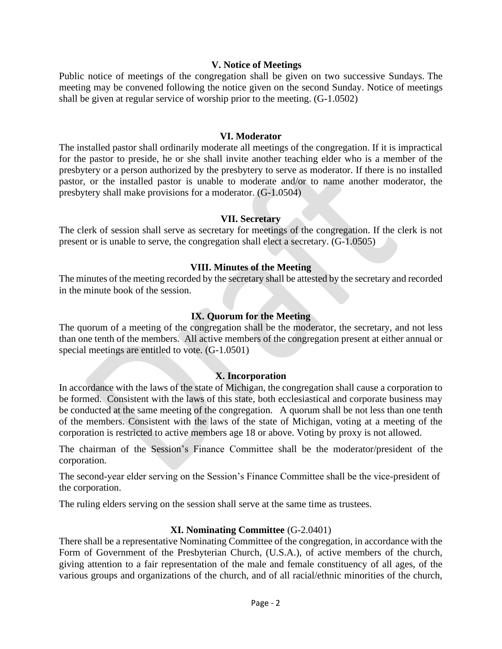#### **V. Notice of Meetings**

Public notice of meetings of the congregation shall be given on two successive Sundays. The meeting may be convened following the notice given on the second Sunday. Notice of meetings shall be given at regular service of worship prior to the meeting. (G-1.0502)

#### **VI. Moderator**

The installed pastor shall ordinarily moderate all meetings of the congregation. If it is impractical for the pastor to preside, he or she shall invite another teaching elder who is a member of the presbytery or a person authorized by the presbytery to serve as moderator. If there is no installed pastor, or the installed pastor is unable to moderate and/or to name another moderator, the presbytery shall make provisions for a moderator. (G-1.0504)

#### **VII. Secretary**

The clerk of session shall serve as secretary for meetings of the congregation. If the clerk is not present or is unable to serve, the congregation shall elect a secretary. (G-1.0505)

#### **VIII. Minutes of the Meeting**

The minutes of the meeting recorded by the secretary shall be attested by the secretary and recorded in the minute book of the session.

#### **IX. Quorum for the Meeting**

The quorum of a meeting of the congregation shall be the moderator, the secretary, and not less than one tenth of the members. All active members of the congregation present at either annual or special meetings are entitled to vote. (G-1.0501)

#### **X. Incorporation**

In accordance with the laws of the state of Michigan, the congregation shall cause a corporation to be formed. Consistent with the laws of this state, both ecclesiastical and corporate business may be conducted at the same meeting of the congregation. A quorum shall be not less than one tenth of the members. Consistent with the laws of the state of Michigan, voting at a meeting of the corporation is restricted to active members age 18 or above. Voting by proxy is not allowed.

The chairman of the Session's Finance Committee shall be the moderator/president of the corporation.

The second-year elder serving on the Session's Finance Committee shall be the vice-president of the corporation.

The ruling elders serving on the session shall serve at the same time as trustees.

#### **XI. Nominating Committee** (G-2.0401)

There shall be a representative Nominating Committee of the congregation, in accordance with the Form of Government of the Presbyterian Church, (U.S.A.), of active members of the church, giving attention to a fair representation of the male and female constituency of all ages, of the various groups and organizations of the church, and of all racial/ethnic minorities of the church,